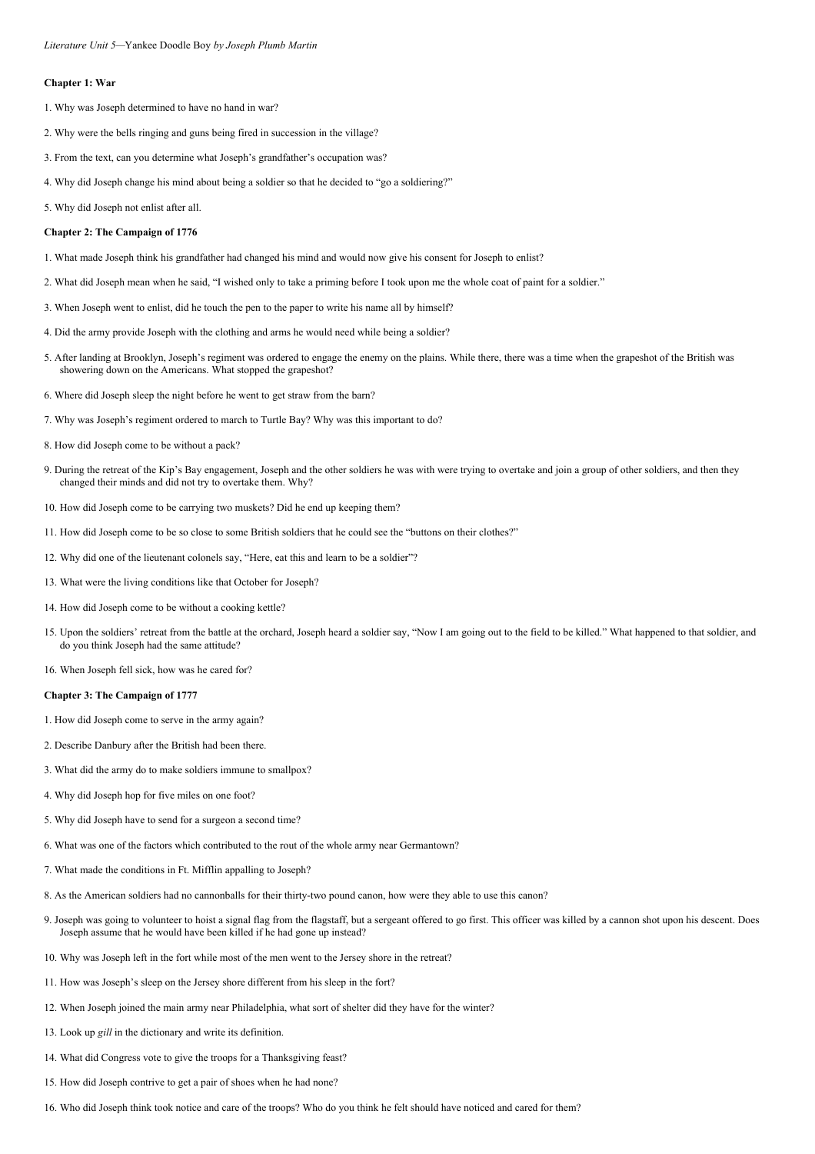## **Chapter 1: War**

- 1. Why was Joseph determined to have no hand in war?
- 2. Why were the bells ringing and guns being fired in succession in the village?
- 3. From the text, can you determine what Joseph's grandfather's occupation was?
- 4. Why did Joseph change his mind about being a soldier so that he decided to "go a soldiering?"
- 5. Why did Joseph not enlist after all.

### **Chapter 2: The Campaign of 1776**

- 1. What made Joseph think his grandfather had changed his mind and would now give his consent for Joseph to enlist?
- 2. What did Joseph mean when he said, "I wished only to take a priming before I took upon me the whole coat of paint for a soldier."
- 3. When Joseph went to enlist, did he touch the pen to the paper to write his name all by himself?
- 4. Did the army provide Joseph with the clothing and arms he would need while being a soldier?
- 5. After landing at Brooklyn, Joseph's regiment was ordered to engage the enemy on the plains. While there, there was a time when the grapeshot of the British was showering down on the Americans. What stopped the grapeshot?
- 6. Where did Joseph sleep the night before he went to get straw from the barn?
- 7. Why was Joseph's regiment ordered to march to Turtle Bay? Why was this important to do?
- 8. How did Joseph come to be without a pack?
- 9. During the retreat of the Kip's Bay engagement, Joseph and the other soldiers he was with were trying to overtake and join a group of other soldiers, and then they changed their minds and did not try to overtake them. Why?
- 10. How did Joseph come to be carrying two muskets? Did he end up keeping them?
- 11. How did Joseph come to be so close to some British soldiers that he could see the "buttons on their clothes?"
- 12. Why did one of the lieutenant colonels say, "Here, eat this and learn to be a soldier"?
- 13. What were the living conditions like that October for Joseph?
- 14. How did Joseph come to be without a cooking kettle?
- 15. Upon the soldiers' retreat from the battle at the orchard, Joseph heard a soldier say, "Now I am going out to the field to be killed." What happened to that soldier, and do you think Joseph had the same attitude?
- 16. When Joseph fell sick, how was he cared for?

### **Chapter 3: The Campaign of 1777**

- 1. How did Joseph come to serve in the army again?
- 2. Describe Danbury after the British had been there.
- 3. What did the army do to make soldiers immune to smallpox?
- 4. Why did Joseph hop for five miles on one foot?
- 5. Why did Joseph have to send for a surgeon a second time?
- 6. What was one of the factors which contributed to the rout of the whole army near Germantown?
- 7. What made the conditions in Ft. Mifflin appalling to Joseph?
- 8. As the American soldiers had no cannonballs for their thirty-two pound canon, how were they able to use this canon?
- 9. Joseph was going to volunteer to hoist a signal flag from the flagstaff, but a sergeant offered to go first. This officer was killed by a cannon shot upon his descent. Does Joseph assume that he would have been killed if he had gone up instead?
- 10. Why was Joseph left in the fort while most of the men went to the Jersey shore in the retreat?
- 11. How was Joseph's sleep on the Jersey shore different from his sleep in the fort?
- 12. When Joseph joined the main army near Philadelphia, what sort of shelter did they have for the winter?
- 13. Look up *gill* in the dictionary and write its definition.
- 14. What did Congress vote to give the troops for a Thanksgiving feast?
- 15. How did Joseph contrive to get a pair of shoes when he had none?
- 16. Who did Joseph think took notice and care of the troops? Who do you think he felt should have noticed and cared for them?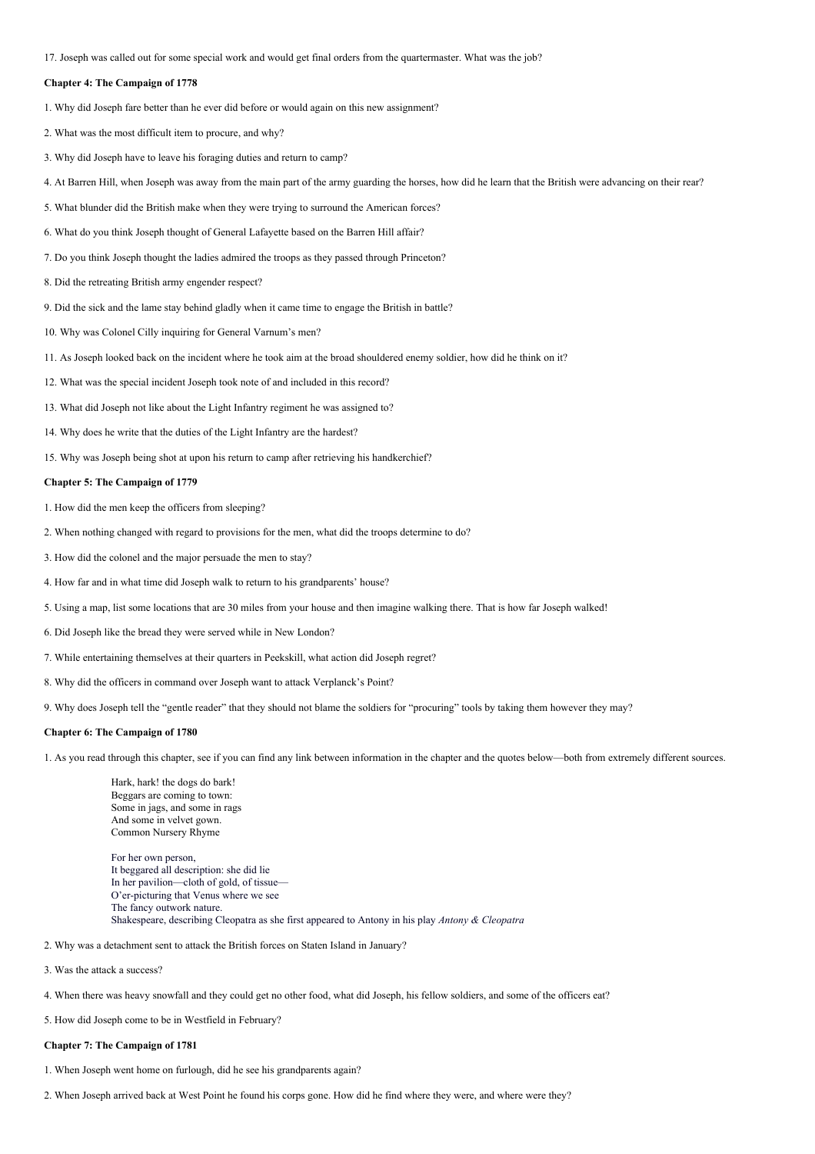17. Joseph was called out for some special work and would get final orders from the quartermaster. What was the job?

## **Chapter 4: The Campaign of 1778**

1. Why did Joseph fare better than he ever did before or would again on this new assignment?

- 2. What was the most difficult item to procure, and why?
- 3. Why did Joseph have to leave his foraging duties and return to camp?
- 4. At Barren Hill, when Joseph was away from the main part of the army guarding the horses, how did he learn that the British were advancing on their rear?
- 5. What blunder did the British make when they were trying to surround the American forces?
- 6. What do you think Joseph thought of General Lafayette based on the Barren Hill affair?
- 7. Do you think Joseph thought the ladies admired the troops as they passed through Princeton?
- 8. Did the retreating British army engender respect?
- 9. Did the sick and the lame stay behind gladly when it came time to engage the British in battle?
- 10. Why was Colonel Cilly inquiring for General Varnum's men?
- 11. As Joseph looked back on the incident where he took aim at the broad shouldered enemy soldier, how did he think on it?
- 12. What was the special incident Joseph took note of and included in this record?
- 13. What did Joseph not like about the Light Infantry regiment he was assigned to?
- 14. Why does he write that the duties of the Light Infantry are the hardest?
- 15. Why was Joseph being shot at upon his return to camp after retrieving his handkerchief?

#### **Chapter 5: The Campaign of 1779**

- 1. How did the men keep the officers from sleeping?
- 2. When nothing changed with regard to provisions for the men, what did the troops determine to do?
- 3. How did the colonel and the major persuade the men to stay?
- 4. How far and in what time did Joseph walk to return to his grandparents' house?
- 5. Using a map, list some locations that are 30 miles from your house and then imagine walking there. That is how far Joseph walked!
- 6. Did Joseph like the bread they were served while in New London?
- 7. While entertaining themselves at their quarters in Peekskill, what action did Joseph regret?
- 8. Why did the officers in command over Joseph want to attack Verplanck's Point?
- 9. Why does Joseph tell the "gentle reader" that they should not blame the soldiers for "procuring" tools by taking them however they may?

# **Chapter 6: The Campaign of 1780**

1. As you read through this chapter, see if you can find any link between information in the chapter and the quotes below—both from extremely different sources.

Hark, hark! the dogs do bark! Beggars are coming to town: Some in jags, and some in rags And some in velvet gown. Common Nursery Rhyme

For her own person, It beggared all description: she did lie In her pavilion—cloth of gold, of tissue— O'er-picturing that Venus where we see The fancy outwork nature. Shakespeare, describing Cleopatra as she first appeared to Antony in his play *Antony & Cleopatra*

- 2. Why was a detachment sent to attack the British forces on Staten Island in January?
- 3. Was the attack a success?
- 4. When there was heavy snowfall and they could get no other food, what did Joseph, his fellow soldiers, and some of the officers eat?

5. How did Joseph come to be in Westfield in February?

## **Chapter 7: The Campaign of 1781**

- 1. When Joseph went home on furlough, did he see his grandparents again?
- 2. When Joseph arrived back at West Point he found his corps gone. How did he find where they were, and where were they?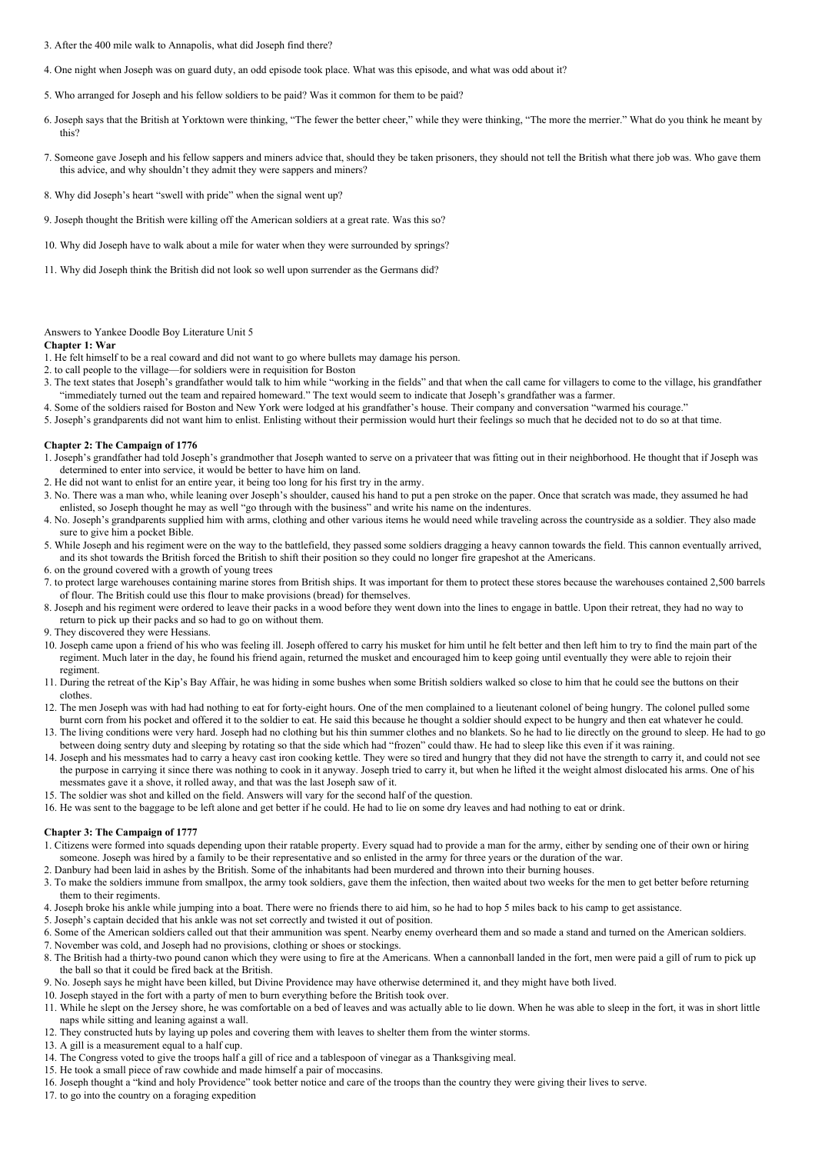- 3. After the 400 mile walk to Annapolis, what did Joseph find there?
- 4. One night when Joseph was on guard duty, an odd episode took place. What was this episode, and what was odd about it?
- 5. Who arranged for Joseph and his fellow soldiers to be paid? Was it common for them to be paid?
- 6. Joseph says that the British at Yorktown were thinking, "The fewer the better cheer," while they were thinking, "The more the merrier." What do you think he meant by this?
- 7. Someone gave Joseph and his fellow sappers and miners advice that, should they be taken prisoners, they should not tell the British what there job was. Who gave them this advice, and why shouldn't they admit they were sappers and miners?
- 8. Why did Joseph's heart "swell with pride" when the signal went up?
- 9. Joseph thought the British were killing off the American soldiers at a great rate. Was this so?
- 10. Why did Joseph have to walk about a mile for water when they were surrounded by springs?
- 11. Why did Joseph think the British did not look so well upon surrender as the Germans did?

Answers to Yankee Doodle Boy Literature Unit 5

### **Chapter 1: War**

- 1. He felt himself to be a real coward and did not want to go where bullets may damage his person.
- 2. to call people to the village—for soldiers were in requisition for Boston
- 3. The text states that Joseph's grandfather would talk to him while "working in the fields" and that when the call came for villagers to come to the village, his grandfather "immediately turned out the team and repaired homeward." The text would seem to indicate that Joseph's grandfather was a farmer.
- 4. Some of the soldiers raised for Boston and New York were lodged at his grandfather's house. Their company and conversation "warmed his courage."
- 5. Joseph's grandparents did not want him to enlist. Enlisting without their permission would hurt their feelings so much that he decided not to do so at that time.

# **Chapter 2: The Campaign of 1776**

- 1. Joseph's grandfather had told Joseph's grandmother that Joseph wanted to serve on a privateer that was fitting out in their neighborhood. He thought that if Joseph was determined to enter into service, it would be better to have him on land.
- 2. He did not want to enlist for an entire year, it being too long for his first try in the army.
- 3. No. There was a man who, while leaning over Joseph's shoulder, caused his hand to put a pen stroke on the paper. Once that scratch was made, they assumed he had enlisted, so Joseph thought he may as well "go through with the business" and write his name on the indentures.
- 4. No. Joseph's grandparents supplied him with arms, clothing and other various items he would need while traveling across the countryside as a soldier. They also made sure to give him a pocket Bible.
- 5. While Joseph and his regiment were on the way to the battlefield, they passed some soldiers dragging a heavy cannon towards the field. This cannon eventually arrived, and its shot towards the British forced the British to shift their position so they could no longer fire grapeshot at the Americans.
- 6. on the ground covered with a growth of young trees
- 7. to protect large warehouses containing marine stores from British ships. It was important for them to protect these stores because the warehouses contained 2,500 barrels of flour. The British could use this flour to make provisions (bread) for themselves.
- 8. Joseph and his regiment were ordered to leave their packs in a wood before they went down into the lines to engage in battle. Upon their retreat, they had no way to return to pick up their packs and so had to go on without them.
- 9. They discovered they were Hessians.
- 10. Joseph came upon a friend of his who was feeling ill. Joseph offered to carry his musket for him until he felt better and then left him to try to find the main part of the regiment. Much later in the day, he found his friend again, returned the musket and encouraged him to keep going until eventually they were able to rejoin their regiment.
- 11. During the retreat of the Kip's Bay Affair, he was hiding in some bushes when some British soldiers walked so close to him that he could see the buttons on their clothes.
- 12. The men Joseph was with had had nothing to eat for forty-eight hours. One of the men complained to a lieutenant colonel of being hungry. The colonel pulled some
- burnt corn from his pocket and offered it to the soldier to eat. He said this because he thought a soldier should expect to be hungry and then eat whatever he could. 13. The living conditions were very hard. Joseph had no clothing but his thin summer clothes and no blankets. So he had to lie directly on the ground to sleep. He had to go between doing sentry duty and sleeping by rotating so that the side which had "frozen" could thaw. He had to sleep like this even if it was raining.
- 14. Joseph and his messmates had to carry a heavy cast iron cooking kettle. They were so tired and hungry that they did not have the strength to carry it, and could not see the purpose in carrying it since there was nothing to cook in it anyway. Joseph tried to carry it, but when he lifted it the weight almost dislocated his arms. One of his messmates gave it a shove, it rolled away, and that was the last Joseph saw of it.
- 15. The soldier was shot and killed on the field. Answers will vary for the second half of the question.
- 16. He was sent to the baggage to be left alone and get better if he could. He had to lie on some dry leaves and had nothing to eat or drink.

#### **Chapter 3: The Campaign of 1777**

- 1. Citizens were formed into squads depending upon their ratable property. Every squad had to provide a man for the army, either by sending one of their own or hiring someone. Joseph was hired by a family to be their representative and so enlisted in the army for three years or the duration of the war.
- 2. Danbury had been laid in ashes by the British. Some of the inhabitants had been murdered and thrown into their burning houses.
- 3. To make the soldiers immune from smallpox, the army took soldiers, gave them the infection, then waited about two weeks for the men to get better before returning them to their regiments.
- 4. Joseph broke his ankle while jumping into a boat. There were no friends there to aid him, so he had to hop 5 miles back to his camp to get assistance.
- 5. Joseph's captain decided that his ankle was not set correctly and twisted it out of position.
- 6. Some of the American soldiers called out that their ammunition was spent. Nearby enemy overheard them and so made a stand and turned on the American soldiers.
- 7. November was cold, and Joseph had no provisions, clothing or shoes or stockings.
- 8. The British had a thirty-two pound canon which they were using to fire at the Americans. When a cannonball landed in the fort, men were paid a gill of rum to pick up the ball so that it could be fired back at the British.
- 9. No. Joseph says he might have been killed, but Divine Providence may have otherwise determined it, and they might have both lived.
- 10. Joseph stayed in the fort with a party of men to burn everything before the British took over.
- 11. While he slept on the Jersey shore, he was comfortable on a bed of leaves and was actually able to lie down. When he was able to sleep in the fort, it was in short little naps while sitting and leaning against a wall.
- 12. They constructed huts by laying up poles and covering them with leaves to shelter them from the winter storms.
- 13. A gill is a measurement equal to a half cup.
- 14. The Congress voted to give the troops half a gill of rice and a tablespoon of vinegar as a Thanksgiving meal.
- 15. He took a small piece of raw cowhide and made himself a pair of moccasins.
- 16. Joseph thought a "kind and holy Providence" took better notice and care of the troops than the country they were giving their lives to serve.
- 17. to go into the country on a foraging expedition